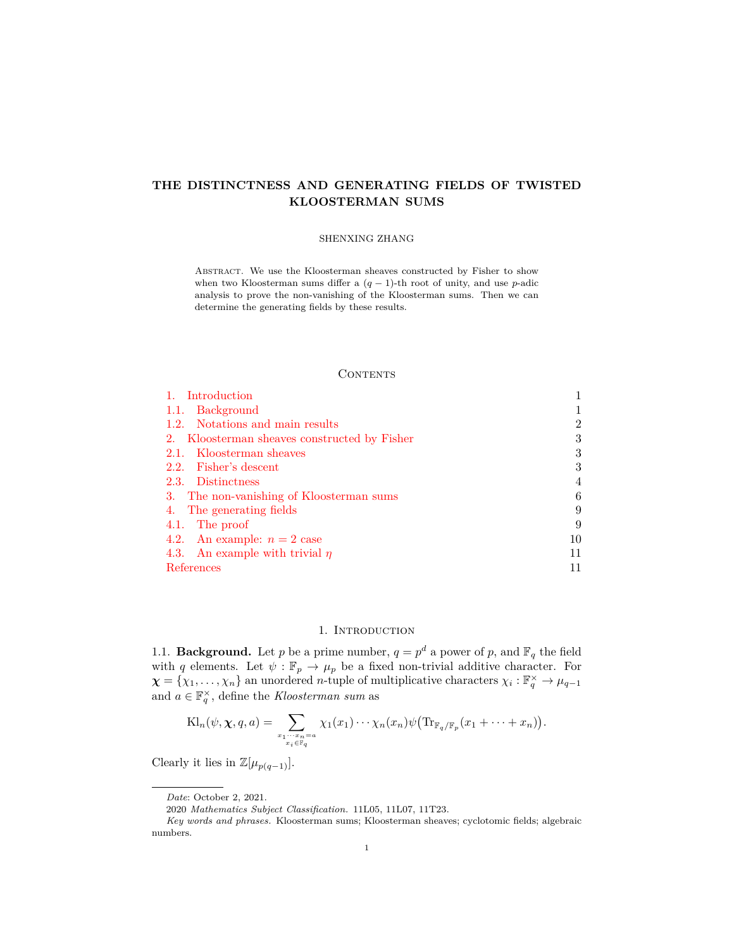# **THE DISTINCTNESS AND GENERATING FIELDS OF TWISTED KLOOSTERMAN SUMS**

#### SHENXING ZHANG

Abstract. We use the Kloosterman sheaves constructed by Fisher to show when two Kloosterman sums differ a (*q −* 1)-th root of unity, and use *p*-adic analysis to prove the non-vanishing of the Kloosterman sums. Then we can determine the generating fields by these results.

### **CONTENTS**

| 1. Introduction                              |    |
|----------------------------------------------|----|
| 1.1. Background                              |    |
| 1.2. Notations and main results              | 2  |
| 2. Kloosterman sheaves constructed by Fisher | 3  |
| 2.1. Kloosterman sheaves                     | 3  |
| 2.2. Fisher's descent                        | 3  |
| 2.3. Distinctness                            | 4  |
| 3. The non-vanishing of Kloosterman sums     | 6  |
| 4. The generating fields                     | 9  |
| 4.1. The proof                               | 9  |
| 4.2. An example: $n = 2$ case                | 10 |
| 4.3. An example with trivial $\eta$          |    |
| References                                   |    |

#### 1. INTRODUCTION

<span id="page-0-1"></span><span id="page-0-0"></span>1.1. **Background.** Let *p* be a prime number,  $q = p^d$  a power of *p*, and  $\mathbb{F}_q$  the field with *q* elements. Let  $\psi$ :  $\mathbb{F}_p \to \mu_p$  be a fixed non-trivial additive character. For  $\chi = \{\chi_1, \ldots, \chi_n\}$  an unordered *n*-tuple of multiplicative characters  $\chi_i : \mathbb{F}_q^{\times} \to \mu_{q-1}$ and  $a \in \mathbb{F}_q^{\times}$ , define the *Kloosterman sum* as

$$
Kl_n(\psi, \chi, q, a) = \sum_{\substack{x_1 \cdots x_n = a \\ x_i \in \mathbb{F}_q}} \chi_1(x_1) \cdots \chi_n(x_n) \psi \big( \text{Tr}_{\mathbb{F}_q/\mathbb{F}_p}(x_1 + \cdots + x_n) \big).
$$

Clearly it lies in  $\mathbb{Z}[\mu_{p(q-1)}].$ 

*Date*: October 2, 2021.

<sup>2020</sup> *Mathematics Subject Classification.* 11L05, 11L07, 11T23.

*Key words and phrases.* Kloosterman sums; Kloosterman sheaves; cyclotomic fields; algebraic numbers.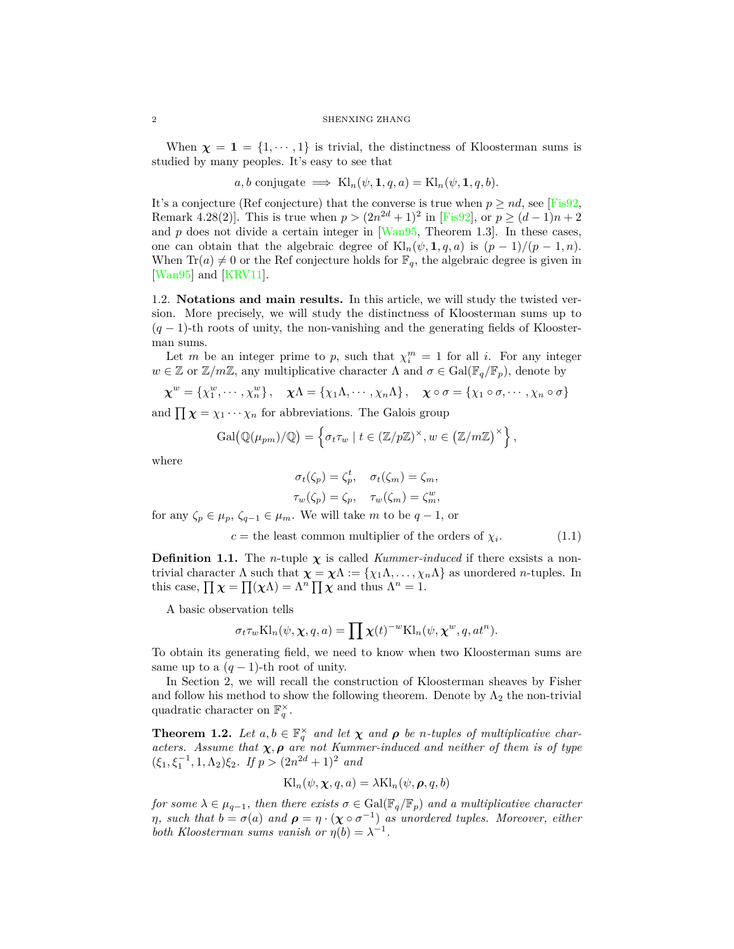When  $\chi = 1 = \{1, \dots, 1\}$  is trivial, the distinctness of Kloosterman sums is studied by many peoples. It's easy to see that

$$
a, b
$$
 conjugate  $\implies$   $\text{Kl}_n(\psi, 1, q, a) = \text{Kl}_n(\psi, 1, q, b).$ 

It's a conjecture (Ref conjecture) that the converse is true when  $p \geq nd$ , see [\[Fis92,](#page-10-2) Remark 4.28(2). This is true when  $p > (2n^{2d} + 1)^2$  in [[Fis92\]](#page-10-2), or  $p \ge (d-1)n + 2$ and  $p$  does not divide a certain integer in  $[Wan95,$  Theorem 1.3. In these cases, one can obtain that the algebraic degree of  $\text{Kl}_n(\psi, \mathbf{1}, q, a)$  is  $(p-1)/(p-1, n)$ . When  $\text{Tr}(a) \neq 0$  or the Ref conjecture holds for  $\mathbb{F}_q$ , the algebraic degree is given in [\[Wan95](#page-10-3)] and [[KRV11\]](#page-10-4).

<span id="page-1-0"></span>1.2. **Notations and main results.** In this article, we will study the twisted version. More precisely, we will study the distinctness of Kloosterman sums up to (*q −* 1)-th roots of unity, the non-vanishing and the generating fields of Kloosterman sums.

Let *m* be an integer prime to *p*, such that  $\chi_i^m = 1$  for all *i*. For any integer  $w \in \mathbb{Z}$  or  $\mathbb{Z}/m\mathbb{Z}$ , any multiplicative character  $\Lambda$  and  $\sigma \in \text{Gal}(\mathbb{F}_q/\mathbb{F}_p)$ , denote by

$$
\boldsymbol{\chi}^w = \{\chi_1^w, \cdots, \chi_n^w\}, \quad \boldsymbol{\chi}\Lambda = \{\chi_1\Lambda, \cdots, \chi_n\Lambda\}, \quad \boldsymbol{\chi}\circ\sigma = \{\chi_1\circ\sigma, \cdots, \chi_n\circ\sigma\}
$$

and  $\prod \chi = \chi_1 \cdots \chi_n$  for abbreviations. The Galois group

$$
\mathrm{Gal}(\mathbb{Q}(\mu_{pm})/\mathbb{Q}) = \left\{ \sigma_t \tau_w \mid t \in (\mathbb{Z}/p\mathbb{Z})^{\times}, w \in (\mathbb{Z}/m\mathbb{Z})^{\times} \right\},\
$$

where

$$
\sigma_t(\zeta_p) = \zeta_p^t, \quad \sigma_t(\zeta_m) = \zeta_m,
$$
  

$$
\tau_w(\zeta_p) = \zeta_p, \quad \tau_w(\zeta_m) = \zeta_m^w,
$$

for any  $\zeta_p \in \mu_p$ ,  $\zeta_{q-1} \in \mu_m$ . We will take *m* to be  $q-1$ , or

$$
c = the least common multiplier of the orders of  $\chi_i$ . (1.1)
$$

**Definition 1.1.** The *n*-tuple  $\chi$  is called *Kummer-induced* if there exsists a nontrivial character  $\Lambda$  such that  $\chi = \chi \Lambda := {\chi_1 \Lambda, \ldots, \chi_n \Lambda}$  as unordered *n*-tuples. In this case,  $\prod \chi = \prod (\chi \Lambda) = \Lambda^n \prod \chi$  and thus  $\Lambda^n = 1$ .

A basic observation tells

$$
\sigma_t \tau_w \text{Kl}_n(\psi, \chi, q, a) = \prod \chi(t)^{-w} \text{Kl}_n(\psi, \chi^w, q, at^n).
$$

To obtain its generating field, we need to know when two Kloosterman sums are same up to a  $(q-1)$ -th root of unity.

In Section 2, we will recall the construction of Kloosterman sheaves by Fisher and follow his method to show the following theorem. Denote by  $\Lambda_2$  the non-trivial quadratic character on  $\mathbb{F}_q^{\times}$ .

<span id="page-1-1"></span>**Theorem 1.2.** Let  $a, b \in \mathbb{F}_q^{\times}$  and let  $\chi$  and  $\rho$  be *n*-tuples of multiplicative char*acters.* Assume that  $\chi$ ,  $\rho$  are not Kummer-induced and neither of them is of type  $(\xi_1, \xi_1^{-1}, 1, \Lambda_2)\xi_2$ *. If*  $p > (2n^{2d} + 1)^2$  *and* 

$$
Kl_n(\psi, \chi, q, a) = \lambda Kl_n(\psi, \boldsymbol{\rho}, q, b)
$$

*for some*  $\lambda \in \mu_{q-1}$ *, then there exists*  $\sigma \in \text{Gal}(\mathbb{F}_q/\mathbb{F}_p)$  *and a multiplicative character η*, such that  $b = \sigma(a)$  and  $\rho = \eta \cdot (\chi \circ \sigma^{-1})$  as unordered tuples. Moreover, either *both Kloosterman sums vanish or*  $\eta(b) = \lambda^{-1}$ .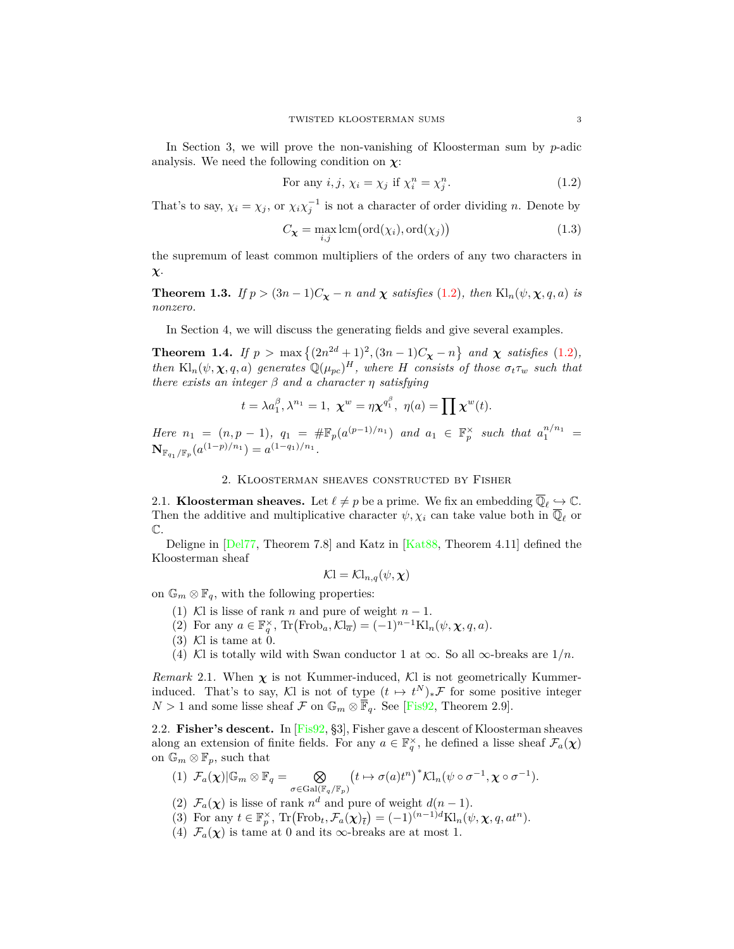In Section 3, we will prove the non-vanishing of Kloosterman sum by *p*-adic analysis. We need the following condition on  $\chi$ :

<span id="page-2-3"></span>For any 
$$
i, j, \chi_i = \chi_j
$$
 if  $\chi_i^n = \chi_j^n$ . (1.2)

That's to say,  $\chi_i = \chi_j$ , or  $\chi_i \chi_j^{-1}$  is not a character of order dividing *n*. Denote by

$$
C_{\mathbf{X}} = \max_{i,j} \text{lcm}\left(\text{ord}(\chi_i), \text{ord}(\chi_j)\right) \tag{1.3}
$$

the supremum of least common multipliers of the orders of any two characters in *χ*.

<span id="page-2-4"></span>**Theorem 1.3.** *If*  $p > (3n - 1)C_\chi - n$  *and*  $\chi$  *satisfies* [\(1.2](#page-2-3))*, then* Kl<sub>n</sub>( $\psi, \chi, q, a$ ) *is nonzero.*

In Section 4, we will discuss the generating fields and give several examples.

<span id="page-2-5"></span>**Theorem 1.4.** *If*  $p > \max\{(2n^{2d} + 1)^2, (3n - 1)C_\chi - n\}$  and  $\chi$  satisfies ([1.2](#page-2-3))*, then*  $\text{Kl}_n(\psi, \chi, q, a)$  *generates*  $\mathbb{Q}(\mu_{pc})^H$ *, where H consists of those*  $\sigma_t \tau_w$  *such that there exists an integer β and a character η satisfying*

$$
t = \lambda a_1^{\beta}, \lambda^{n_1} = 1, \ \boldsymbol{\chi}^w = \eta \boldsymbol{\chi}^{q_1^{\beta}}, \ \eta(a) = \prod \boldsymbol{\chi}^w(t).
$$

*Here*  $n_1 = (n, p - 1)$ ,  $q_1 = \# \mathbb{F}_p(a^{(p-1)/n_1})$  and  $a_1 \in \mathbb{F}_p^{\times}$  such that  $a_1^{n/n_1} =$  $\mathbf{N}_{\mathbb{F}_{q_1}/\mathbb{F}_p}(a^{(1-p)/n_1}) = a^{(1-q_1)/n_1}.$ 

#### 2. Kloosterman sheaves constructed by Fisher

<span id="page-2-1"></span><span id="page-2-0"></span>2.1. **Kloosterman sheaves.** Let  $\ell \neq p$  be a prime. We fix an embedding  $\overline{\mathbb{Q}}_{\ell} \hookrightarrow \mathbb{C}$ . Then the additive and multiplicative character  $\psi, \chi_i$  can take value both in  $\overline{\mathbb{Q}}_{\ell}$  or  $\mathbb{C}.$ 

Deligne in [[Del77,](#page-10-5) Theorem 7.8] and Katz in [[Kat88](#page-10-6), Theorem 4.11] defined the Kloosterman sheaf

$$
\mathcal{K}=\mathcal{K}l_{n,q}(\psi,\boldsymbol{\chi})
$$

on  $\mathbb{G}_m \otimes \mathbb{F}_q$ , with the following properties:

- (1) *K*l is lisse of rank *n* and pure of weight  $n-1$ .
- $(2)$  For any  $a \in \mathbb{F}_q^{\times}$ ,  $\mathrm{Tr}(\mathrm{Frob}_a, \mathcal{K}l_{\overline{a}}) = (-1)^{n-1} \mathrm{K}l_n(\psi, \chi, q, a)$ .
- $(3)$  Kl is tame at 0.
- (4) *K*l is totally wild with Swan conductor 1 at  $\infty$ . So all  $\infty$ -breaks are  $1/n$ .

*Remark* 2.1. When  $\chi$  is not Kummer-induced,  $Kl$  is not geometrically Kummerinduced. That's to say,  $\mathcal{K}$ l is not of type  $(t \mapsto t^N)_* \mathcal{F}$  for some positive integer *N*> 1 and some lisse sheaf *F* on  $\mathbb{G}_m \otimes \overline{\mathbb{F}}_q$ . See [[Fis92](#page-10-2), Theorem 2.9].

<span id="page-2-2"></span>2.2. **Fisher's descent.** In [[Fis92](#page-10-2), §3], Fisher gave a descent of Kloosterman sheaves along an extension of finite fields. For any  $a \in \mathbb{F}_q^{\times}$ , he defined a lisse sheaf  $\mathcal{F}_a(\chi)$ on  $\mathbb{G}_m \otimes \mathbb{F}_p$ , such that

- (1)  $\mathcal{F}_a(\chi)|\mathbb{G}_m \otimes \mathbb{F}_q = \otimes$  $\sigma \in$ Gal( $\mathbb{F}_q$ */* $\mathbb{F}_p$ )  $(t \mapsto \sigma(a)t^n)^* \mathcal{K}l_n(\psi \circ \sigma^{-1}, \chi \circ \sigma^{-1}).$
- (2)  $\mathcal{F}_a(\chi)$  is lisse of rank  $n^d$  and pure of weight  $d(n-1)$ .
- (3) For any  $t \in \mathbb{F}_p^{\times}$ ,  $\text{Tr}(\text{Frob}_t, \mathcal{F}_a(\chi)_{\bar{t}}) = (-1)^{(n-1)d} \text{Kl}_n(\psi, \chi, q, at^n)$ .
- (4)  $\mathcal{F}_a(\chi)$  is tame at 0 and its  $\infty$ -breaks are at most 1.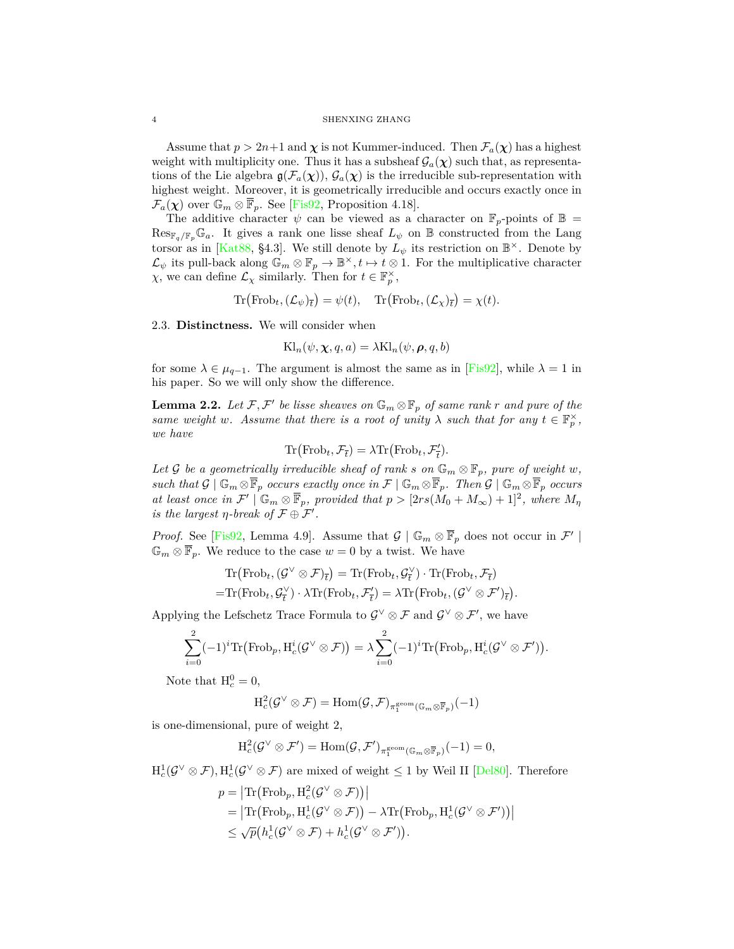#### 4 SHENXING ZHANG

Assume that  $p > 2n+1$  and  $\chi$  is not Kummer-induced. Then  $\mathcal{F}_a(\chi)$  has a highest weight with multiplicity one. Thus it has a subsheaf  $\mathcal{G}_a(\chi)$  such that, as representations of the Lie algebra  $g(\mathcal{F}_a(\chi))$ ,  $\mathcal{G}_a(\chi)$  is the irreducible sub-representation with highest weight. Moreover, it is geometrically irreducible and occurs exactly once in  $\mathcal{F}_a(\chi)$  over  $\mathbb{G}_m \otimes \mathbb{F}_p$ . See [\[Fis92](#page-10-2), Proposition 4.18].

The additive character  $\psi$  can be viewed as a character on  $\mathbb{F}_p$ -points of  $\mathbb{B} =$  $\text{Res}_{\mathbb{F}_q/\mathbb{F}_p}\mathbb{G}_a$ . It gives a rank one lisse sheaf  $L_{\psi}$  on  $\mathbb B$  constructed from the Lang torsor as in [[Kat88](#page-10-6), §4.3]. We still denote by  $L_{\psi}$  its restriction on  $\mathbb{B}^{\times}$ . Denote by  $\mathcal{L}_{\psi}$  its pull-back along  $\mathbb{G}_m \otimes \mathbb{F}_p \to \mathbb{B}^{\times}, t \mapsto t \otimes 1$ . For the multiplicative character *χ*, we can define  $\mathcal{L}_\chi$  similarly. Then for  $t \in \mathbb{F}_p^\times$ ,

$$
\text{Tr}(\text{Frob}_t, (\mathcal{L}_{\psi})_{\overline{t}}) = \psi(t), \quad \text{Tr}(\text{Frob}_t, (\mathcal{L}_{\chi})_{\overline{t}}) = \chi(t).
$$

<span id="page-3-0"></span>2.3. **Distinctness.** We will consider when

$$
Kl_n(\psi, \chi, q, a) = \lambda Kl_n(\psi, \rho, q, b)
$$

for some  $\lambda \in \mu_{q-1}$ . The argument is almost the same as in [[Fis92\]](#page-10-2), while  $\lambda = 1$  in his paper. So we will only show the difference.

<span id="page-3-1"></span>**Lemma 2.2.** Let  $\mathcal{F}, \mathcal{F}'$  be lisse sheaves on  $\mathbb{G}_m \otimes \mathbb{F}_p$  of same rank  $r$  and pure of the *same weight w.* Assume that there is a root of unity  $\lambda$  *such that for any*  $t \in \mathbb{F}_p^{\times}$ , *we have*

$$
\text{Tr}(\text{Frob}_t, \mathcal{F}_{\overline{t}}) = \lambda \text{Tr}(\text{Frob}_t, \mathcal{F}'_{\overline{t}}).
$$

*Let G be a geometrically irreducible sheaf of rank <i>s* on  $\mathbb{G}_m \otimes \mathbb{F}_p$ *, pure of weight w, such that*  $G \mid \mathbb{G}_m \otimes \overline{\mathbb{F}}_p$  *occurs exactly once in*  $\mathcal{F} \mid \mathbb{G}_m \otimes \overline{\mathbb{F}}_p$ *. Then*  $G \mid \mathbb{G}_m \otimes \overline{\mathbb{F}}_p$  *occurs at least once in*  $\mathcal{F}' \mid \mathbb{G}_m \otimes \mathbb{F}_p$ , provided that  $p > [2rs(M_0 + M_\infty) + 1]^2$ , where  $M_\eta$ *is the largest*  $\eta$ *-break of*  $\mathcal{F} \oplus \mathcal{F}'$ *.* 

*Proof.* See [[Fis92](#page-10-2), Lemma 4.9]. Assume that  $\mathcal{G} \mid \mathbb{G}_m \otimes \mathbb{F}_p$  does not occur in  $\mathcal{F}' \mid$  $\mathbb{G}_m \otimes \overline{\mathbb{F}}_p$ . We reduce to the case  $w = 0$  by a twist. We have

$$
\mathrm{Tr}(\mathrm{Frob}_t, (\mathcal{G}^\vee \otimes \mathcal{F})_{\overline{t}}) = \mathrm{Tr}(\mathrm{Frob}_t, \mathcal{G}_{\overline{t}}^\vee) \cdot \mathrm{Tr}(\mathrm{Frob}_t, \mathcal{F}_{\overline{t}})
$$

$$
= \mathrm{Tr}(\mathrm{Frob}_t, \mathcal{G}_{\overline{t}}^\vee) \cdot \lambda \mathrm{Tr}(\mathrm{Frob}_t, \mathcal{F}_{\overline{t}}') = \lambda \mathrm{Tr}(\mathrm{Frob}_t, (\mathcal{G}^\vee \otimes \mathcal{F}')_{\overline{t}}).
$$

Applying the Lefschetz Trace Formula to  $\mathcal{G}^{\vee} \otimes \mathcal{F}$  and  $\mathcal{G}^{\vee} \otimes \mathcal{F}'$ , we have

$$
\sum_{i=0}^{2} (-1)^{i} \text{Tr}(\text{Frob}_p, \text{H}_c^{i}(\mathcal{G}^{\vee} \otimes \mathcal{F})) = \lambda \sum_{i=0}^{2} (-1)^{i} \text{Tr}(\text{Frob}_p, \text{H}_c^{i}(\mathcal{G}^{\vee} \otimes \mathcal{F}')).
$$

Note that  $H_c^0 = 0$ ,

$$
\mathrm{H}^2_c(\mathcal{G}^\vee\otimes\mathcal{F})=\mathrm{Hom}(\mathcal{G},\mathcal{F})_{\pi_1^{\mathrm{geom}}(\mathbb{G}_m\otimes\overline{\mathbb{F}}_p)}(-1)
$$

is one-dimensional, pure of weight 2,

$$
\mathrm{H}^2_c(\mathcal{G}^{\vee} \otimes \mathcal{F}') = \mathrm{Hom}(\mathcal{G}, \mathcal{F}')_{\pi_1^{\mathrm{geom}}(\mathbb{G}_m \otimes \overline{\mathbb{F}}_p)}(-1) = 0,
$$

 $H_c^1(\mathcal{G}^\vee \otimes \mathcal{F}), H_c^1(\mathcal{G}^\vee \otimes \mathcal{F})$  are mixed of weight  $\leq 1$  by Weil II [\[Del80](#page-10-7)]. Therefore

$$
p = |\text{Tr}(\text{Frob}_p, \text{H}_c^2(\mathcal{G}^\vee \otimes \mathcal{F}))|
$$
  
= |\text{Tr}(\text{Frob}\_p, \text{H}\_c^1(\mathcal{G}^\vee \otimes \mathcal{F})) - \lambda \text{Tr}(\text{Frob}\_p, \text{H}\_c^1(\mathcal{G}^\vee \otimes \mathcal{F}'))|  
\leq \sqrt{p}(h\_c^1(\mathcal{G}^\vee \otimes \mathcal{F}) + h\_c^1(\mathcal{G}^\vee \otimes \mathcal{F}')).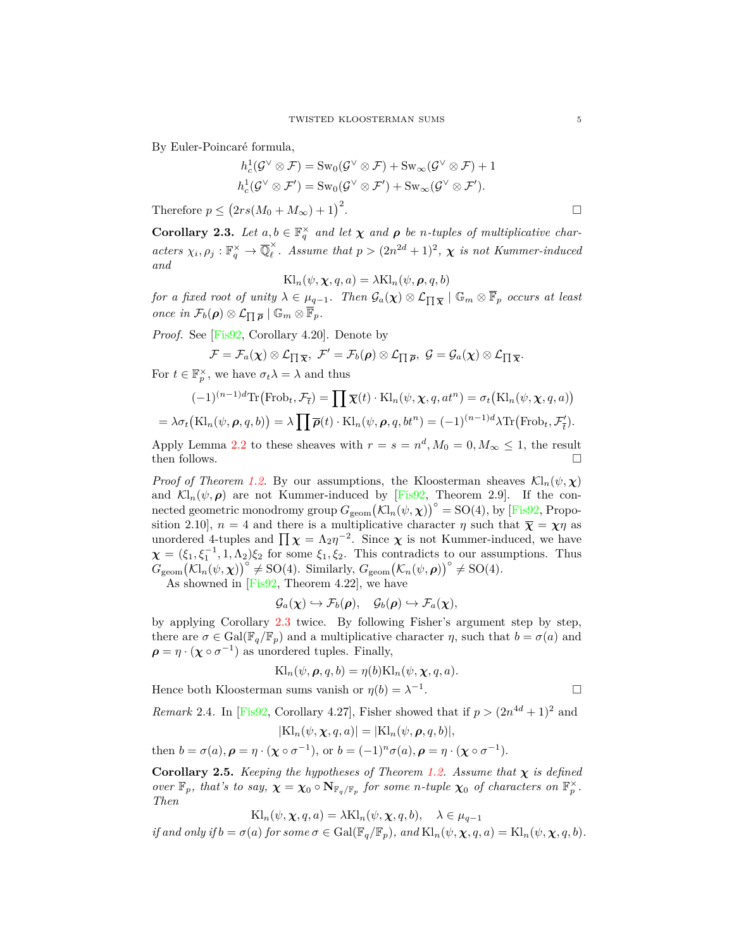By Euler-Poincaré formula,

$$
h_c^1(\mathcal{G}^{\vee} \otimes \mathcal{F}) = \text{Sw}_0(\mathcal{G}^{\vee} \otimes \mathcal{F}) + \text{Sw}_{\infty}(\mathcal{G}^{\vee} \otimes \mathcal{F}) + 1
$$
  

$$
h_c^1(\mathcal{G}^{\vee} \otimes \mathcal{F}') = \text{Sw}_0(\mathcal{G}^{\vee} \otimes \mathcal{F}') + \text{Sw}_{\infty}(\mathcal{G}^{\vee} \otimes \mathcal{F}').
$$

Therefore  $p \leq (2rs(M_0 + M_\infty) + 1)^2$ .

<span id="page-4-0"></span>**Corollary 2.3.** Let  $a, b \in \mathbb{F}_q^{\times}$  and let  $\chi$  and  $\rho$  be *n*-tuples of multiplicative char*acters*  $\chi_i, \rho_j : \mathbb{F}_q^{\times} \to \overline{\mathbb{Q}}_\ell^{\times}$ . Assume that  $p > (2n^{2d} + 1)^2$ ,  $\chi$  is not Kummer-induced *and*

$$
Kl_n(\psi, \chi, q, a) = \lambda Kl_n(\psi, \rho, q, b)
$$

*for a fixed root of unity*  $\lambda \in \mu_{q-1}$ *. Then*  $\mathcal{G}_a(\chi) \otimes \mathcal{L}_{\Pi \overline{\chi}} \mid \mathbb{G}_m \otimes \overline{\mathbb{F}}_p$  *occurs at least once in*  $\mathcal{F}_b(\rho) \otimes \mathcal{L}_{\prod \overline{\rho}} \mid \mathbb{G}_m \otimes \overline{\mathbb{F}}_p$ .

*Proof.* See [\[Fis92,](#page-10-2) Corollary 4.20]. Denote by

$$
\mathcal{F}=\mathcal{F}_a(\boldsymbol{\chi})\otimes\mathcal{L}_{\prod\overline{\boldsymbol{\chi}}},\ \mathcal{F}'=\mathcal{F}_b(\boldsymbol{\rho})\otimes\mathcal{L}_{\prod\overline{\boldsymbol{\rho}}},\ \mathcal{G}=\mathcal{G}_a(\boldsymbol{\chi})\otimes\mathcal{L}_{\prod\overline{\boldsymbol{\chi}}}.
$$

For  $t \in \mathbb{F}_p^{\times}$ , we have  $\sigma_t \lambda = \lambda$  and thus

$$
(-1)^{(n-1)d} \text{Tr} \left( \text{Frob}_t, \mathcal{F}_{\bar{t}} \right) = \prod \overline{\chi}(t) \cdot \text{Kl}_n(\psi, \chi, q, at^n) = \sigma_t \left( \text{Kl}_n(\psi, \chi, q, a) \right)
$$

$$
= \lambda \sigma_t \left( \text{Kl}_n(\psi, \rho, q, b) \right) = \lambda \prod \overline{\rho}(t) \cdot \text{Kl}_n(\psi, \rho, q, bt^n) = (-1)^{(n-1)d} \lambda \text{Tr} \left( \text{Frob}_t, \mathcal{F}'_t \right).
$$

Apply Lemma [2.2](#page-3-1) to these sheaves with  $r = s = n^d, M_0 = 0, M_\infty \le 1$ , the result then follows.  $\Box$ 

*Proof of Theorem [1.2.](#page-1-1)* By our assumptions, the Kloosterman sheaves  $\mathcal{K}l_n(\psi, \chi)$ and  $\mathcal{K}l_n(\psi, \rho)$  are not Kummer-induced by [[Fis92,](#page-10-2) Theorem 2.9]. If the connected geometric monodromy group  $G_{\text{geom}}(\mathcal{K}l_n(\psi, \chi))^{\circ} = SO(4)$ , by [[Fis92](#page-10-2), Proposition 2.10],  $n = 4$  and there is a multiplicative character  $\eta$  such that  $\bar{\chi} = \chi \eta$  as unordered 4-tuples and  $\prod \chi = \Lambda_2 \eta^{-2}$ . Since  $\chi$  is not Kummer-induced, we have  $\chi = (\xi_1, \xi_1^{-1}, 1, \Lambda_2)\xi_2$  for some  $\xi_1, \xi_2$ . This contradicts to our assumptions. Thus  $G_{\text{geom}}(\mathcal{K}l_n(\psi, \chi))^{\circ} \neq \text{SO}(4)$ . Similarly,  $G_{\text{geom}}(\mathcal{K}_n(\psi, \rho))^{\circ} \neq \text{SO}(4)$ .

As showned in  $[Fix92, Theorem 4.22]$ , we have

$$
\mathcal{G}_a(\boldsymbol{\chi}) \hookrightarrow \mathcal{F}_b(\boldsymbol{\rho}), \quad \mathcal{G}_b(\boldsymbol{\rho}) \hookrightarrow \mathcal{F}_a(\boldsymbol{\chi}),
$$

by applying Corollary [2.3](#page-4-0) twice. By following Fisher's argument step by step, there are  $\sigma \in \text{Gal}(\mathbb{F}_q/\mathbb{F}_p)$  and a multiplicative character  $\eta$ , such that  $b = \sigma(a)$  and  $\rho = \eta \cdot (\chi \circ \sigma^{-1})$  as unordered tuples. Finally,

$$
Kl_n(\psi, \boldsymbol{\rho}, q, b) = \eta(b)Kl_n(\psi, \boldsymbol{\chi}, q, a).
$$

Hence both Kloosterman sums vanish or  $\eta(b) = \lambda^{-1}$ 

.

*Remark* 2.4. In [\[Fis92](#page-10-2), Corollary 4.27], Fisher showed that if  $p > (2n^{4d} + 1)^2$  and

$$
|\mathrm{Kl}_n(\psi, \chi, q, a)| = |\mathrm{Kl}_n(\psi, \boldsymbol{\rho}, q, b)|,
$$

then  $b = \sigma(a)$ ,  $\rho = \eta \cdot (\chi \circ \sigma^{-1})$ , or  $b = (-1)^n \sigma(a)$ ,  $\rho = \eta \cdot (\chi \circ \sigma^{-1})$ .

**Corollary 2.5.** *Keeping the hypotheses of Theorem [1.2](#page-1-1). Assume that*  $\chi$  *is defined over*  $\mathbb{F}_p$ *, that's to say,*  $\chi = \chi_0 \circ \mathbf{N}_{\mathbb{F}_q/\mathbb{F}_p}$  *for some n-tuple*  $\chi_0$  *of characters on*  $\mathbb{F}_p^{\times}$ *. Then*

 $\text{KL}_n(\psi, \chi, q, a) = \lambda \text{KL}_n(\psi, \chi, q, b), \quad \lambda \in \mu_{q-1}$ 

if and only if  $b = \sigma(a)$  for some  $\sigma \in \text{Gal}(\mathbb{F}_q/\mathbb{F}_p)$ , and  $\text{Kl}_n(\psi, \chi, q, a) = \text{Kl}_n(\psi, \chi, q, b)$ .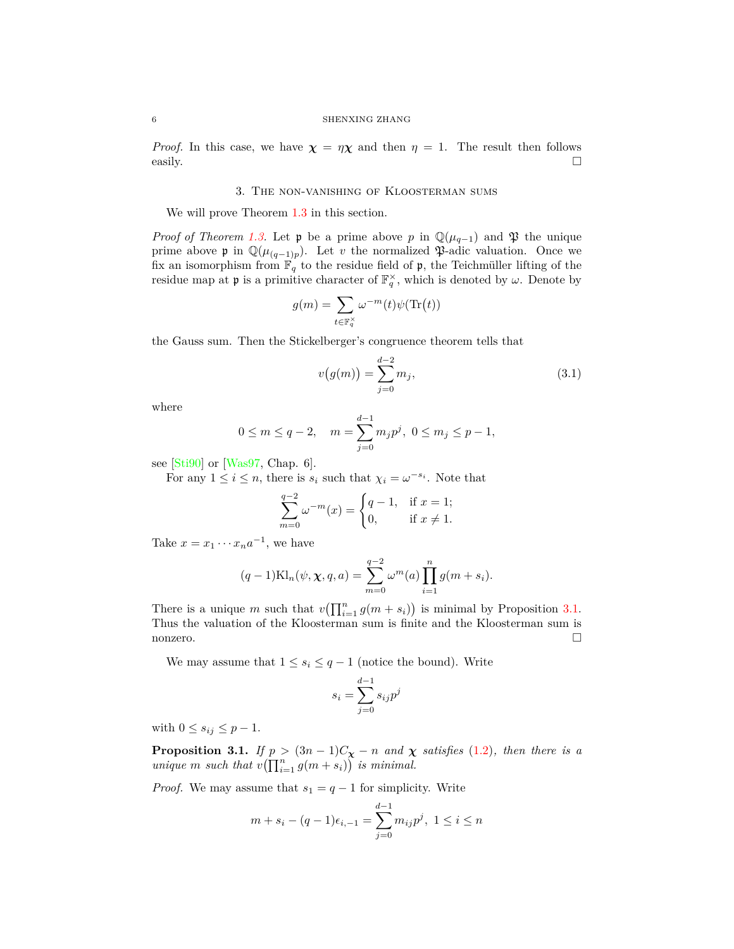#### 6 SHENXING ZHANG

*Proof.* In this case, we have  $\chi = \eta \chi$  and then  $\eta = 1$ . The result then follows easily.  $\Box$ 

#### 3. The non-vanishing of Kloosterman sums

<span id="page-5-0"></span>We will prove Theorem [1.3](#page-2-4) in this section.

*Proof of Theorem [1.3.](#page-2-4)* Let  $\mathfrak{p}$  be a prime above *p* in  $\mathbb{Q}(\mu_{q-1})$  and  $\mathfrak{P}$  the unique prime above  $\mathfrak{p}$  in  $\mathbb{Q}(\mu_{(q-1)p})$ . Let *v* the normalized  $\mathfrak{P}\text{-}\mathrm{adic}$  valuation. Once we fix an isomorphism from  $\mathbb{F}_q$  to the residue field of  $\mathfrak{p}$ , the Teichmüller lifting of the residue map at  $\mathfrak{p}$  is a primitive character of  $\mathbb{F}_q^{\times}$ , which is denoted by  $\omega$ . Denote by

$$
g(m) = \sum_{t \in \mathbb{F}_q^{\times}} \omega^{-m}(t) \psi(\text{Tr}(t))
$$

the Gauss sum. Then the Stickelberger's congruence theorem tells that

<span id="page-5-2"></span>
$$
v(g(m)) = \sum_{j=0}^{d-2} m_j,
$$
\n(3.1)

where

$$
0 \le m \le q-2
$$
,  $m = \sum_{j=0}^{d-1} m_j p^j$ ,  $0 \le m_j \le p-1$ ,

see [[Sti90\]](#page-10-8) or [[Was97](#page-10-9), Chap. 6].

For any  $1 \leq i \leq n$ , there is  $s_i$  such that  $\chi_i = \omega^{-s_i}$ . Note that

$$
\sum_{m=0}^{q-2} \omega^{-m}(x) = \begin{cases} q-1, & \text{if } x = 1; \\ 0, & \text{if } x \neq 1. \end{cases}
$$

Take  $x = x_1 \cdots x_n a^{-1}$ , we have

$$
(q-1)\text{Kl}_{n}(\psi, \chi, q, a) = \sum_{m=0}^{q-2} \omega^{m}(a) \prod_{i=1}^{n} g(m+s_{i}).
$$

There is a unique *m* such that  $v(\prod_{i=1}^n g(m+s_i))$  is minimal by Proposition [3.1.](#page-5-1) Thus the valuation of the Kloosterman sum is finite and the Kloosterman sum is nonzero.  $\Box$ 

We may assume that  $1 \leq s_i \leq q-1$  (notice the bound). Write

$$
s_i = \sum_{j=0}^{d-1} s_{ij} p^j
$$

with  $0 \leq s_{ij} \leq p-1$ .

<span id="page-5-1"></span>**Proposition 3.1.** *If*  $p > (3n - 1)C_{\chi} - n$  *and*  $\chi$  *satisfies* ([1.2\)](#page-2-3)*, then there is a unique m such that*  $v(\prod_{i=1}^n g(m+s_i))$  *is minimal.* 

*Proof.* We may assume that  $s_1 = q - 1$  for simplicity. Write

$$
m + s_i - (q - 1)\epsilon_{i, -1} = \sum_{j=0}^{d-1} m_{ij} p^j, \ 1 \le i \le n
$$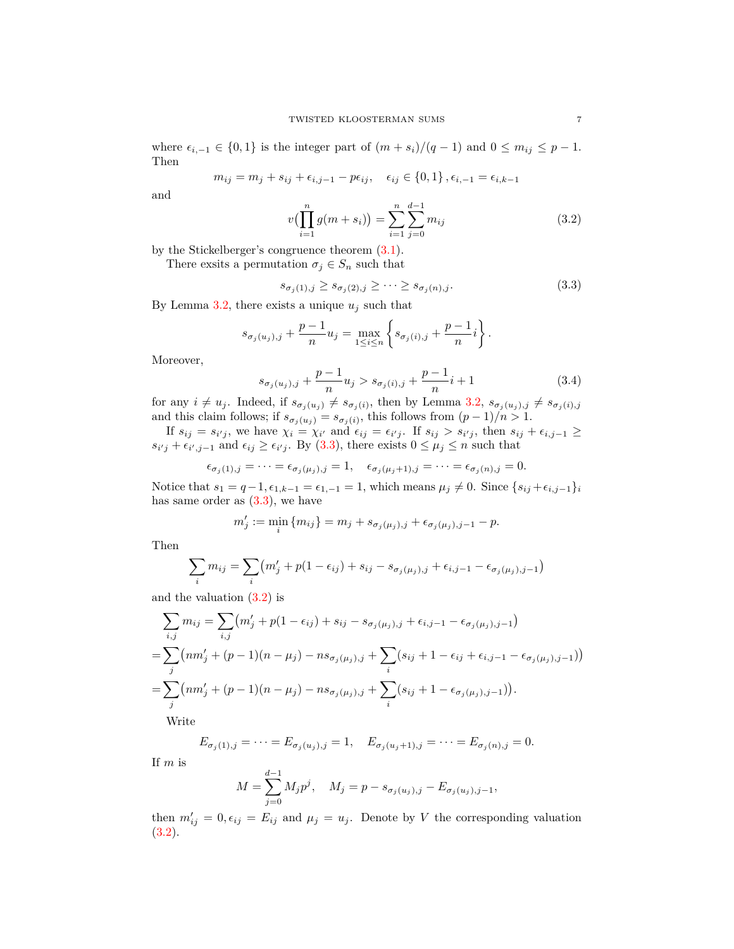where  $\epsilon_{i,-1} \in \{0,1\}$  is the integer part of  $(m+s_i)/(q-1)$  and  $0 \leq m_{ij} \leq p-1$ . Then

$$
m_{ij} = m_j + s_{ij} + \epsilon_{i,j-1} - p\epsilon_{ij}, \quad \epsilon_{ij} \in \{0, 1\}, \epsilon_{i,-1} = \epsilon_{i,k-1}
$$

and

<span id="page-6-1"></span>
$$
v\left(\prod_{i=1}^{n} g(m+s_i)\right) = \sum_{i=1}^{n} \sum_{j=0}^{d-1} m_{ij}
$$
\n(3.2)

by the Stickelberger's congruence theorem ([3.1\)](#page-5-2).

There exsits a permutation  $\sigma_j \in S_n$  such that

<span id="page-6-0"></span>
$$
s_{\sigma_j(1),j} \ge s_{\sigma_j(2),j} \ge \cdots \ge s_{\sigma_j(n),j}.\tag{3.3}
$$

By Lemma [3.2,](#page-7-0) there exists a unique  $u_j$  such that

$$
s_{\sigma_j(u_j),j} + \frac{p-1}{n} u_j = \max_{1 \le i \le n} \left\{ s_{\sigma_j(i),j} + \frac{p-1}{n} i \right\}.
$$

Moreover,

<span id="page-6-2"></span>
$$
s_{\sigma_j(u_j),j} + \frac{p-1}{n} u_j > s_{\sigma_j(i),j} + \frac{p-1}{n} i + 1
$$
\n(3.4)

for any  $i \neq u_j$ . Indeed, if  $s_{\sigma_j(u_j)} \neq s_{\sigma_j(i)}$ , then by Lemma [3.2](#page-7-0),  $s_{\sigma_j(u_j),j} \neq s_{\sigma_j(i),j}$ and this claim follows; if  $s_{\sigma_j(u_j)} = s_{\sigma_j(i)}$ , this follows from  $(p-1)/n > 1$ .

If  $s_{ij} = s_{i'j}$ , we have  $\chi_i = \chi_{i'}$  and  $\epsilon_{ij} = \epsilon_{i'j}$ . If  $s_{ij} > s_{i'j}$ , then  $s_{ij} + \epsilon_{i,j-1} \ge$ *s*<sup>*i*</sup></sup>/<sup>*j*</sup> +  $\epsilon$ <sup>*i*</sup>/<sub>*j*</sub>-1 and  $\epsilon$ <sup>*i*</sup>/<sub>*j*</sub> ≥  $\epsilon$ <sup>*i*</sup>/<sub>*j*</sub>. By [\(3.3\)](#page-6-0), there exists 0 ≤  $\mu$ <sup>*j*</sup> ≤ *n* such that

$$
\epsilon_{\sigma_j(1),j} = \dots = \epsilon_{\sigma_j(\mu_j),j} = 1, \quad \epsilon_{\sigma_j(\mu_j+1),j} = \dots = \epsilon_{\sigma_j(n),j} = 0.
$$

Notice that  $s_1 = q - 1, \epsilon_{1,k-1} = \epsilon_{1,-1} = 1$ , which means  $\mu_j \neq 0$ . Since  $\{s_{ij} + \epsilon_{i,j-1}\}_i$ has same order as  $(3.3)$  $(3.3)$  $(3.3)$ , we have

$$
m'_{j} := \min_{i} \{ m_{ij} \} = m_{j} + s_{\sigma_{j}(\mu_{j}),j} + \epsilon_{\sigma_{j}(\mu_{j}),j-1} - p.
$$

Then

$$
\sum_{i} m_{ij} = \sum_{i} (m'_{j} + p(1 - \epsilon_{ij}) + s_{ij} - s_{\sigma_j(\mu_j),j} + \epsilon_{i,j-1} - \epsilon_{\sigma_j(\mu_j),j-1})
$$

and the valuation ([3.2](#page-6-1)) is

*d−*1

$$
\sum_{i,j} m_{ij} = \sum_{i,j} (m'_j + p(1 - \epsilon_{ij}) + s_{ij} - s_{\sigma_j(\mu_j),j} + \epsilon_{i,j-1} - \epsilon_{\sigma_j(\mu_j),j-1})
$$
  
= 
$$
\sum_j (nm'_j + (p-1)(n - \mu_j) - ns_{\sigma_j(\mu_j),j} + \sum_i (s_{ij} + 1 - \epsilon_{ij} + \epsilon_{i,j-1} - \epsilon_{\sigma_j(\mu_j),j-1}))
$$
  
= 
$$
\sum_j (nm'_j + (p-1)(n - \mu_j) - ns_{\sigma_j(\mu_j),j} + \sum_i (s_{ij} + 1 - \epsilon_{\sigma_j(\mu_j),j-1})).
$$
 Write

$$
E_{\sigma_j(1),j} = \cdots = E_{\sigma_j(u_j),j} = 1, \quad E_{\sigma_j(u_j+1),j} = \cdots = E_{\sigma_j(n),j} = 0.
$$

If *m* is

$$
M = \sum_{j=0}^{d-1} M_j p^j, \quad M_j = p - s_{\sigma_j(u_j),j} - E_{\sigma_j(u_j),j-1},
$$

then  $m'_{ij} = 0, \epsilon_{ij} = E_{ij}$  and  $\mu_j = u_j$ . Denote by *V* the corresponding valuation ([3.2](#page-6-1)).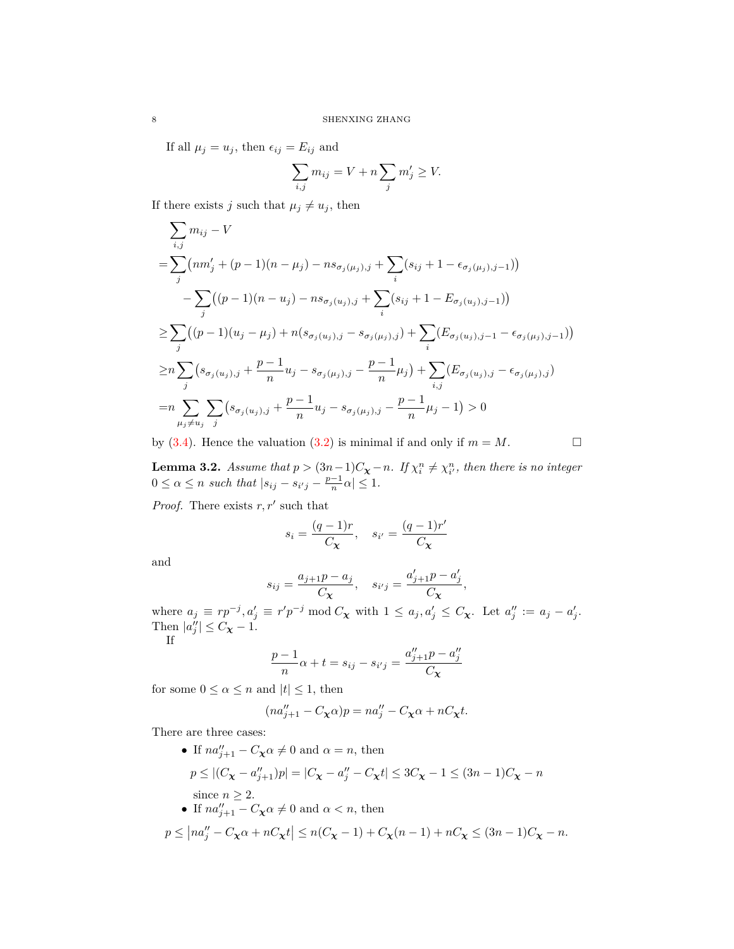If all  $\mu_j = u_j$ , then  $\epsilon_{ij} = E_{ij}$  and

$$
\sum_{i,j} m_{ij} = V + n \sum_j m'_j \ge V.
$$

If there exists *j* such that  $\mu_j \neq u_j$ , then

$$
\sum_{i,j} m_{ij} - V
$$
\n
$$
= \sum_{j} (nm'_{j} + (p-1)(n - \mu_{j}) - ns_{\sigma_{j}(\mu_{j}),j} + \sum_{i} (s_{ij} + 1 - \epsilon_{\sigma_{j}(\mu_{j}),j-1}))
$$
\n
$$
- \sum_{j} ((p-1)(n - u_{j}) - ns_{\sigma_{j}(u_{j}),j} + \sum_{i} (s_{ij} + 1 - E_{\sigma_{j}(u_{j}),j-1}))
$$
\n
$$
\geq \sum_{j} ((p-1)(u_{j} - \mu_{j}) + n(s_{\sigma_{j}(u_{j}),j} - s_{\sigma_{j}(\mu_{j}),j}) + \sum_{i} (E_{\sigma_{j}(u_{j}),j-1} - \epsilon_{\sigma_{j}(\mu_{j}),j-1}))
$$
\n
$$
\geq n \sum_{j} (s_{\sigma_{j}(u_{j}),j} + \frac{p-1}{n} u_{j} - s_{\sigma_{j}(\mu_{j}),j} - \frac{p-1}{n} \mu_{j}) + \sum_{i,j} (E_{\sigma_{j}(u_{j}),j} - \epsilon_{\sigma_{j}(\mu_{j}),j})
$$
\n
$$
= n \sum_{\mu_{j} \neq u_{j}} \sum_{j} (s_{\sigma_{j}(u_{j}),j} + \frac{p-1}{n} u_{j} - s_{\sigma_{j}(\mu_{j}),j} - \frac{p-1}{n} \mu_{j} - 1) > 0
$$

by [\(3.4](#page-6-2)). Hence the valuation [\(3.2](#page-6-1)) is minimal if and only if  $m = M$ .

<span id="page-7-0"></span>**Lemma 3.2.** *Assume that*  $p > (3n-1)C_{\chi} - n$ *. If*  $\chi_i^n \neq \chi_{i'}^n$ *, then there is no integer*  $0 \le \alpha \le n$  such that  $|s_{ij} - s_{i'j} - \frac{p-1}{n}\alpha| \le 1$ .

*Proof.* There exists *r, r′* such that

$$
s_i = \frac{(q-1)r}{C_{\mathbf{X}}}, \quad s_{i'} = \frac{(q-1)r'}{C_{\mathbf{X}}}
$$

and

$$
s_{ij} = \frac{a_{j+1}p - a_j}{C_{\mathbf{X}}}, \quad s_{i'j} = \frac{a'_{j+1}p - a'_{j}}{C_{\mathbf{X}}},
$$

where  $a_j \equiv rp^{-j}, a'_j \equiv r'p^{-j} \mod C_{\mathbf{X}}$  with  $1 \leq a_j, a'_j \leq C_{\mathbf{X}}$ . Let  $a''_j := a_j - a'_j$ . Then  $|a''_j| \leq C_\mathbf{\chi} - 1$ .

If

$$
\frac{p-1}{n}\alpha + t = s_{ij} - s_{i'j} = \frac{a''_{j+1}p - a''_j}{C_{\mathbf{X}}}
$$

for some  $0 \le \alpha \le n$  and  $|t| \le 1$ , then

$$
(na''_{j+1} - C_{\mathbf{X}}\alpha)p = na''_j - C_{\mathbf{X}}\alpha + nC_{\mathbf{X}}t.
$$

There are three cases:

• If  $na''_{j+1} - C_{\chi}a \neq 0$  and  $\alpha = n$ , then  $p \leq |(C_{\mathbf{X}} - a''_{j+1})p| = |C_{\mathbf{X}} - a''_j - C_{\mathbf{X}}t| \leq 3C_{\mathbf{X}} - 1 \leq (3n-1)C_{\mathbf{X}} - n$ since  $n \geq 2$ . • If  $na''_{j+1} - C_{\mathbf{X}} \alpha \neq 0$  and  $\alpha < n$ , then

$$
p\leq \left|na_{j}''-C_{\mathbf{X}}\alpha+nC_{\mathbf{X}}t\right|\leq n(C_{\mathbf{X}}-1)+C_{\mathbf{X}}(n-1)+nC_{\mathbf{X}}\leq (3n-1)C_{\mathbf{X}}-n.
$$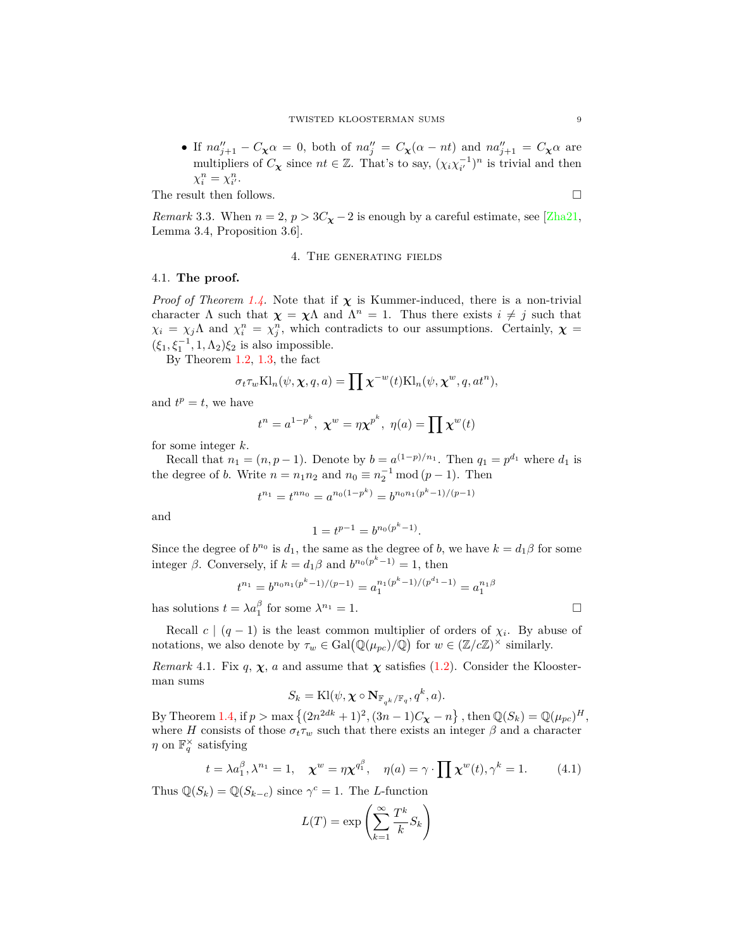• If  $na''_{j+1} - C_{\chi}\alpha = 0$ , both of  $na''_j = C_{\chi}(\alpha - nt)$  and  $na''_{j+1} = C_{\chi}\alpha$  are multipliers of  $C_{\chi}$  since  $nt \in \mathbb{Z}$ . That's to say,  $(\chi_i \chi_{i'}^{-1})^n$  is trivial and then  $\chi_i^n = \chi_{i'}^n$ .

The result then follows.  $\Box$ 

*Remark* 3.3. When  $n = 2$ ,  $p > 3C_{\chi} - 2$  is enough by a careful estimate, see [[Zha21,](#page-11-0) Lemma 3.4, Proposition 3.6].

#### 4. The generating fields

#### <span id="page-8-1"></span><span id="page-8-0"></span>4.1. **The proof.**

*Proof of Theorem [1.4.](#page-2-5)* Note that if  $\chi$  is Kummer-induced, there is a non-trivial character  $\Lambda$  such that  $\chi = \chi \Lambda$  and  $\Lambda^n = 1$ . Thus there exists  $i \neq j$  such that  $\chi_i = \chi_j \Lambda$  and  $\chi_i^n = \chi_j^n$ , which contradicts to our assumptions. Certainly,  $\chi =$  $(\xi_1, \xi_1^{-1}, 1, \Lambda_2)\xi_2$  is also impossible.

By Theorem [1.2](#page-1-1), [1.3,](#page-2-4) the fact

$$
\sigma_t \tau_w \text{Kl}_n(\psi, \chi, q, a) = \prod \chi^{-w}(t) \text{Kl}_n(\psi, \chi^w, q, at^n),
$$

and  $t^p = t$ , we have

$$
t^{n} = a^{1-p^{k}}, \mathbf{x}^{w} = \eta \mathbf{x}^{p^{k}}, \eta(a) = \prod \mathbf{x}^{w}(t)
$$

for some integer *k*.

Recall that  $n_1 = (n, p - 1)$ . Denote by  $b = a^{(1-p)/n_1}$ . Then  $q_1 = p^{d_1}$  where  $d_1$  is the degree of *b*. Write  $n = n_1 n_2$  and  $n_0 \equiv n_2^{-1} \mod (p-1)$ . Then

$$
t^{n_1} = t^{nn_0} = a^{n_0(1-p^k)} = b^{n_0n_1(p^k-1)/(p-1)}
$$

and

$$
1 = t^{p-1} = b^{n_0(p^k - 1)}.
$$

Since the degree of  $b^{n_0}$  is  $d_1$ , the same as the degree of *b*, we have  $k = d_1 \beta$  for some integer  $\beta$ . Conversely, if  $k = d_1 \beta$  and  $b^{n_0(p^k-1)} = 1$ , then

$$
t^{n_1}=b^{n_0n_1(p^k-1)/(p-1)}=a_1^{n_1(p^k-1)/(p^{d_1}-1)}=a_1^{n_1\beta}
$$

has solutions  $t = \lambda a_1^{\beta}$  for some  $\lambda^{n_1} = 1$ .

Recall  $c \mid (q-1)$  is the least common multiplier of orders of  $\chi_i$ . By abuse of notations, we also denote by  $\tau_w \in \text{Gal}(\mathbb{Q}(\mu_{pc})/\mathbb{Q})$  for  $w \in (\mathbb{Z}/c\mathbb{Z})^{\times}$  similarly.

*Remark* 4.1. Fix  $q$ ,  $\chi$ ,  $a$  and assume that  $\chi$  satisfies [\(1.2](#page-2-3)). Consider the Kloosterman sums

$$
S_k = \mathrm{Kl}(\psi, \chi \circ \mathbf{N}_{\mathbb{F}_{q^k}/\mathbb{F}_q}, q^k, a).
$$

By Theorem [1.4,](#page-2-5) if  $p > \max\{(2n^{2dk} + 1)^2, (3n - 1)C_{\chi} - n\}$ , then  $\mathbb{Q}(S_k) = \mathbb{Q}(\mu_{pc})^H$ , where *H* consists of those  $\sigma_t \tau_w$  such that there exists an integer  $\beta$  and a character *η* on  $\mathbb{F}_q^{\times}$  satisfying

<span id="page-8-2"></span>
$$
t = \lambda a_1^{\beta}, \lambda^{n_1} = 1, \quad \chi^w = \eta \chi^{q_1^{\beta}}, \quad \eta(a) = \gamma \cdot \prod \chi^w(t), \gamma^k = 1. \tag{4.1}
$$

Thus  $\mathbb{Q}(S_k) = \mathbb{Q}(S_{k-c})$  since  $\gamma^c = 1$ . The *L*-function

$$
L(T) = \exp\left(\sum_{k=1}^{\infty} \frac{T^k}{k} S_k\right)
$$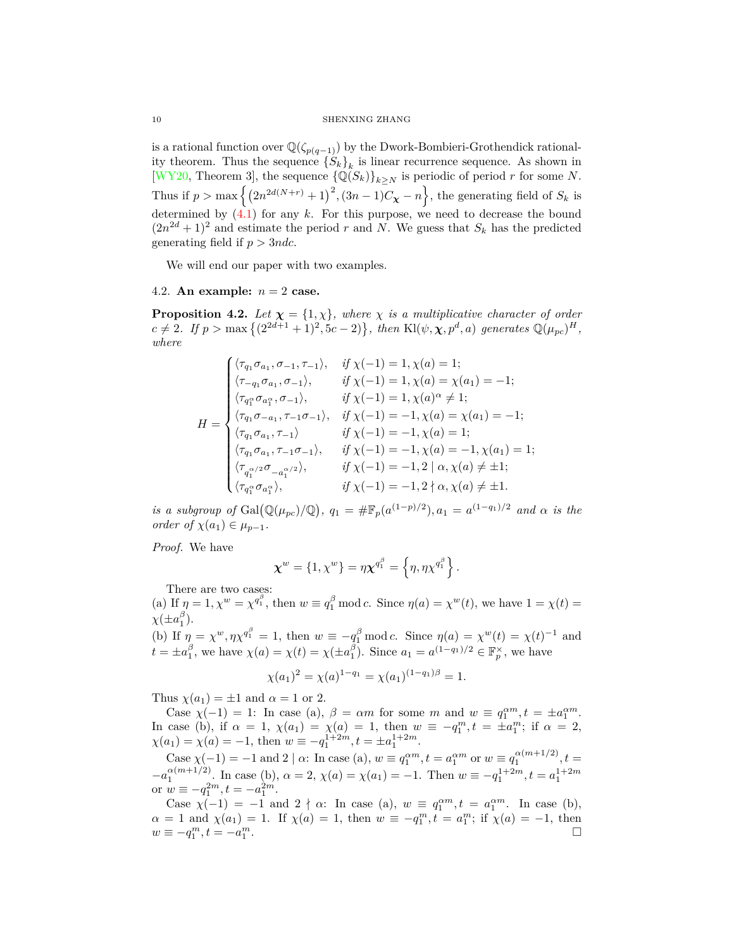is a rational function over  $\mathbb{Q}(\zeta_{p(q-1)})$  by the Dwork-Bombieri-Grothendick rationality theorem. Thus the sequence  ${S_k}_k$  is linear recurrence sequence. As shown in [\[WY20](#page-11-1), Theorem 3], the sequence  $\{ \mathbb{Q}(S_k) \}_{k \geq N}$  is periodic of period *r* for some *N*. Thus if  $p > \max\left\{ \left(2n^{2d(N+r)} + 1\right)^2, \left(3n - 1\right)C_\mathbf{X} - n\right\}$ , the generating field of  $S_k$  is determined by ([4.1](#page-8-2)) for any *k*. For this purpose, we need to decrease the bound  $(2n^{2d} + 1)^2$  and estimate the period *r* and *N*. We guess that  $S_k$  has the predicted generating field if *p >* 3*ndc*.

We will end our paper with two examples.

### <span id="page-9-0"></span>4.2. An example:  $n = 2$  case.

**Proposition 4.2.** *Let*  $\chi = \{1, \chi\}$ *, where*  $\chi$  *is a multiplicative character of order*  $c \neq 2$ *. If*  $p > \max\{(2^{2d+1} + 1)^2, 5c - 2)\}$ , then Kl( $\psi, \chi, p^d, a$ ) generates  $\mathbb{Q}(\mu_{pc})^H$ , *where*

$$
H = \begin{cases} \langle \tau_{q_1} \sigma_{a_1}, \sigma_{-1}, \tau_{-1} \rangle, & \text{if } \chi(-1) = 1, \chi(a) = 1; \\ \langle \tau_{-q_1} \sigma_{a_1}, \sigma_{-1} \rangle, & \text{if } \chi(-1) = 1, \chi(a) = \chi(a_1) = -1; \\ \langle \tau_{q_1^{\alpha}} \sigma_{a_1^{\alpha}}, \sigma_{-1} \rangle, & \text{if } \chi(-1) = 1, \chi(a)^{\alpha} \neq 1; \\ \langle \tau_{q_1} \sigma_{-a_1}, \tau_{-1} \sigma_{-1} \rangle, & \text{if } \chi(-1) = -1, \chi(a) = \chi(a_1) = -1; \\ \langle \tau_{q_1} \sigma_{a_1}, \tau_{-1} \rangle & \text{if } \chi(-1) = -1, \chi(a) = 1; \\ \langle \tau_{q_1} \sigma_{a_1}, \tau_{-1} \sigma_{-1} \rangle, & \text{if } \chi(-1) = -1, \chi(a) = -1, \chi(a_1) = 1; \\ \langle \tau_{q_1^{\alpha}} \rangle, & \text{if } \chi(-1) = -1, 2 \mid \alpha, \chi(a) \neq \pm 1; \\ \langle \tau_{q_1^{\alpha}} \sigma_{a_1^{\alpha}} \rangle, & \text{if } \chi(-1) = -1, 2 \nmid \alpha, \chi(a) \neq \pm 1. \end{cases}
$$

*is a subgroup of* Gal( $\mathbb{Q}(\mu_{pc})/\mathbb{Q}$ ),  $q_1 = \# \mathbb{F}_p(a^{(1-p)/2})$ ,  $a_1 = a^{(1-q_1)/2}$  *and*  $\alpha$  *is the order of*  $\chi(a_1) \in \mu_{p-1}$ *.* 

*Proof.* We have

$$
\boldsymbol{\chi}^w = \{1, \chi^w\} = \eta \boldsymbol{\chi}^{q_1^\beta} = \left\{\eta, \eta \chi^{q_1^\beta}\right\}.
$$

There are two cases:

(a) If  $\eta = 1, \chi^w = \chi^{q_1^{\beta}}$ , then  $w \equiv q_1^{\beta} \mod c$ . Since  $\eta(a) = \chi^w(t)$ , we have  $1 = \chi(t) =$  $\chi(\pm a_1^{\beta})$ .

(b) If  $\eta = \chi^w, \eta \chi^{q_1^{\beta}} = 1$ , then  $w \equiv -q_1^{\beta} \text{ mod } c$ . Since  $\eta(a) = \chi^w(t) = \chi(t)^{-1}$  and  $t = \pm a_1^{\beta}$ , we have  $\chi(a) = \chi(t) = \chi(\pm a_1^{\beta})$ . Since  $a_1 = a^{(1-q_1)/2} \in \mathbb{F}_p^{\times}$ , we have

$$
\chi(a_1)^2 = \chi(a)^{1-q_1} = \chi(a_1)^{(1-q_1)\beta} = 1.
$$

Thus  $\chi(a_1) = \pm 1$  and  $\alpha = 1$  or 2.

Case  $\chi(-1) = 1$ : In case (a),  $\beta = \alpha m$  for some *m* and  $w \equiv q_1^{\alpha m}, t = \pm a_1^{\alpha m}$ . In case (b), if  $\alpha = 1$ ,  $\chi(a_1) = \chi(a) = 1$ , then  $w \equiv -q_1^m$ ,  $t = \pm a_1^m$ ; if  $\alpha = 2$ ,  $\chi(a_1) = \chi(a) = -1$ , then  $w \equiv -q_1^{1+2m}, t = \pm a_1^{1+2m}$ .

Case  $\chi(-1) = -1$  and 2 |  $\alpha$ : In case (a),  $w \equiv q_1^{\alpha m}, t = a_1^{\alpha m}$  or  $w \equiv q_1^{\alpha (m+1/2)}, t =$  $-a_1^{\alpha(m+1/2)}$ . In case (b),  $\alpha = 2$ ,  $\chi(a) = \chi(a_1) = -1$ . Then  $w \equiv -q_1^{1+2m}$ ,  $t = a_1^{1+2m}$ or  $w \equiv -q_1^{2m}, t = -a_1^{2m}.$ 

Case  $\chi(-1) = -1$  and  $2 \nmid \alpha$ : In case (a),  $w \equiv q_1^{\alpha m}, t = a_1^{\alpha m}$ . In case (b),  $\alpha = 1$  and  $\chi(a_1) = 1$ . If  $\chi(a) = 1$ , then  $w \equiv -q_1^m$ ,  $t = a_1^m$ ; if  $\chi(a) = -1$ , then  $w \equiv -q_1^m, t = -a_1^m$ .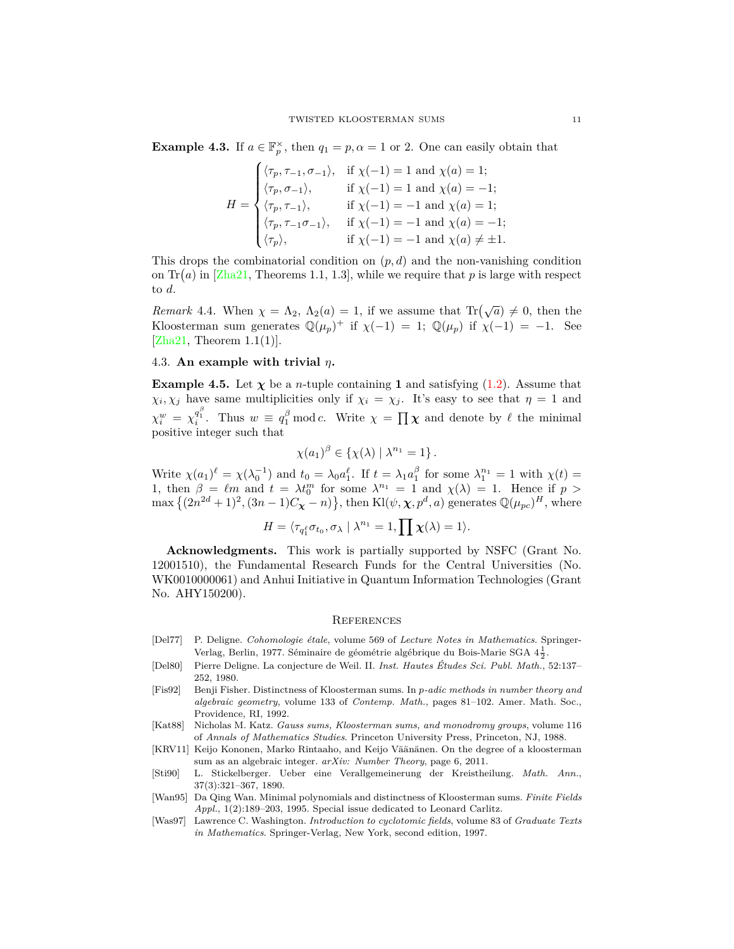**Example 4.3.** If  $a \in \mathbb{F}_p^{\times}$ , then  $q_1 = p, \alpha = 1$  or 2. One can easily obtain that

$$
H = \begin{cases} \langle \tau_p, \tau_{-1}, \sigma_{-1} \rangle, & \text{if } \chi(-1) = 1 \text{ and } \chi(a) = 1; \\ \langle \tau_p, \sigma_{-1} \rangle, & \text{if } \chi(-1) = 1 \text{ and } \chi(a) = -1; \\ \langle \tau_p, \tau_{-1} \rangle, & \text{if } \chi(-1) = -1 \text{ and } \chi(a) = 1; \\ \langle \tau_p, \tau_{-1}\sigma_{-1} \rangle, & \text{if } \chi(-1) = -1 \text{ and } \chi(a) = -1; \\ \langle \tau_p \rangle, & \text{if } \chi(-1) = -1 \text{ and } \chi(a) \neq \pm 1. \end{cases}
$$

This drops the combinatorial condition on  $(p, d)$  and the non-vanishing condition on  $\text{Tr}(a)$  in [[Zha21](#page-11-0), Theorems 1.1, 1.3], while we require that p is large with respect to *d*.

*Remark* 4.4*.* When  $\chi = \Lambda_2$ ,  $\Lambda_2(a) = 1$ , if we assume that Tr $(\sqrt{a}) \neq 0$ , then the Kloosterman sum generates  $\mathbb{Q}(\mu_p)^+$  if  $\chi(-1) = 1$ ;  $\mathbb{Q}(\mu_p)$  if  $\chi(-1) = -1$ . See  $[Zha21, Theorem 1.1(1)].$  $[Zha21, Theorem 1.1(1)].$ 

## <span id="page-10-0"></span>4.3. **An example with trivial** *η***.**

**Example 4.5.** Let  $\chi$  be a *n*-tuple containing **1** and satisfying [\(1.2](#page-2-3)). Assume that  $\chi_i, \chi_j$  have same multiplicities only if  $\chi_i = \chi_j$ . It's easy to see that  $\eta = 1$  and  $\chi_i^w = \chi_i^{q_i^{\beta}}$ . Thus  $w \equiv q_1^{\beta} \mod c$ . Write  $\chi = \prod \chi$  and denote by  $\ell$  the minimal positive integer such that

$$
\chi(a_1)^\beta \in \{\chi(\lambda) \mid \lambda^{n_1} = 1\}.
$$

Write  $\chi(a_1)^{\ell} = \chi(\lambda_0^{-1})$  and  $t_0 = \lambda_0 a_1^{\ell}$ . If  $t = \lambda_1 a_1^{\beta}$  for some  $\lambda_1^{n_1} = 1$  with  $\chi(t) =$ 1, then  $\beta = \ell m$  and  $t = \lambda t_0^m$  for some  $\lambda^{n_1} = 1$  and  $\chi(\lambda) = 1$ . Hence if  $p >$  $\max\left\{(2n^{2d}+1)^2,(3n-1)C_{\chi}-n)\right\}$ , then Kl( $\psi, \chi, p^d, a$ ) generates  $\mathbb{Q}(\mu_{pc})^H$ , where

$$
H=\langle \tau_{q_1^\ell}\sigma_{t_0},\sigma_\lambda\mid \lambda^{n_1}=1, \prod \chi(\lambda)=1\rangle.
$$

**Acknowledgments.** This work is partially supported by NSFC (Grant No. 12001510), the Fundamental Research Funds for the Central Universities (No. WK0010000061) and Anhui Initiative in Quantum Information Technologies (Grant No. AHY150200).

### <span id="page-10-1"></span>**REFERENCES**

- <span id="page-10-5"></span>[Del77] P. Deligne. *Cohomologie étale*, volume 569 of *Lecture Notes in Mathematics*. Springer-Verlag, Berlin, 1977. Séminaire de géométrie algébrique du Bois-Marie SGA  $4\frac{1}{2}.$
- <span id="page-10-7"></span>[Del80] Pierre Deligne. La conjecture de Weil. II. *Inst. Hautes Études Sci. Publ. Math.*, 52:137– 252, 1980.
- <span id="page-10-2"></span>[Fis92] Benji Fisher. Distinctness of Kloosterman sums. In *p-adic methods in number theory and algebraic geometry*, volume 133 of *Contemp. Math.*, pages 81–102. Amer. Math. Soc., Providence, RI, 1992.
- <span id="page-10-6"></span>[Kat88] Nicholas M. Katz. *Gauss sums, Kloosterman sums, and monodromy groups*, volume 116 of *Annals of Mathematics Studies*. Princeton University Press, Princeton, NJ, 1988.
- <span id="page-10-4"></span>[KRV11] Keijo Kononen, Marko Rintaaho, and Keijo Väänänen. On the degree of a kloosterman sum as an algebraic integer. *arXiv: Number Theory*, page 6, 2011.
- <span id="page-10-8"></span>[Sti90] L. Stickelberger. Ueber eine Verallgemeinerung der Kreistheilung. *Math. Ann.*, 37(3):321–367, 1890.
- <span id="page-10-3"></span>[Wan95] Da Qing Wan. Minimal polynomials and distinctness of Kloosterman sums. *Finite Fields Appl.*, 1(2):189–203, 1995. Special issue dedicated to Leonard Carlitz.
- <span id="page-10-9"></span>[Was97] Lawrence C. Washington. *Introduction to cyclotomic fields*, volume 83 of *Graduate Texts in Mathematics*. Springer-Verlag, New York, second edition, 1997.